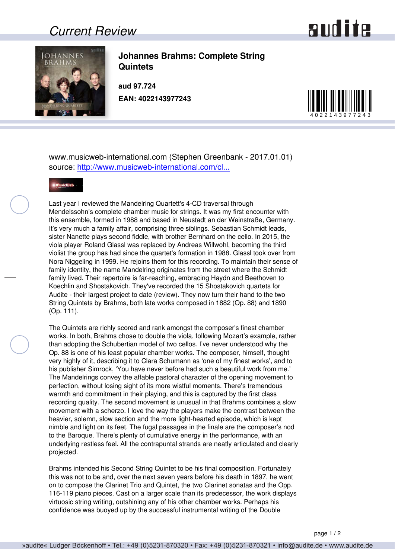## *Current Review*





**Johannes Brahms: Complete String Quintets**

**aud 97.724 EAN: 4022143977243**



www.musicweb-international.com (Stephen Greenbank - 2017.01.01) source: [http://www.musicweb-international.com/cl...](http://www.musicweb-international.com/classrev/2017/Jan/Brahms_quintets_97724.htm)



Last year I reviewed the Mandelring Quartett's 4-CD traversal through Mendelssohn's complete chamber music for strings. It was my first encounter with this ensemble, formed in 1988 and based in Neustadt an der Weinstraße, Germany. It's very much a family affair, comprising three siblings. Sebastian Schmidt leads, sister Nanette plays second fiddle, with brother Bernhard on the cello. In 2015, the viola player Roland Glassl was replaced by Andreas Willwohl, becoming the third violist the group has had since the quartet's formation in 1988. Glassl took over from Nora Niggeling in 1999. He rejoins them for this recording. To maintain their sense of family identity, the name Mandelring originates from the street where the Schmidt family lived. Their repertoire is far-reaching, embracing Haydn and Beethoven to Koechlin and Shostakovich. They've recorded the 15 Shostakovich quartets for Audite - their largest project to date (review). They now turn their hand to the two String Quintets by Brahms, both late works composed in 1882 (Op. 88) and 1890 (Op. 111).

The Quintets are richly scored and rank amongst the composer's finest chamber works. In both, Brahms chose to double the viola, following Mozart's example, rather than adopting the Schubertian model of two cellos. I've never understood why the Op. 88 is one of his least popular chamber works. The composer, himself, thought very highly of it, describing it to Clara Schumann as 'one of my finest works', and to his publisher Simrock, 'You have never before had such a beautiful work from me.' The Mandelrings convey the affable pastoral character of the opening movement to perfection, without losing sight of its more wistful moments. There's tremendous warmth and commitment in their playing, and this is captured by the first class recording quality. The second movement is unusual in that Brahms combines a slow movement with a scherzo. I love the way the players make the contrast between the heavier, solemn, slow section and the more light-hearted episode, which is kept nimble and light on its feet. The fugal passages in the finale are the composer's nod to the Baroque. There's plenty of cumulative energy in the performance, with an underlying restless feel. All the contrapuntal strands are neatly articulated and clearly projected.

Brahms intended his Second String Quintet to be his final composition. Fortunately this was not to be and, over the next seven years before his death in 1897, he went on to compose the Clarinet Trio and Quintet, the two Clarinet sonatas and the Opp. 116-119 piano pieces. Cast on a larger scale than its predecessor, the work displays virtuosic string writing, outshining any of his other chamber works. Perhaps his confidence was buoyed up by the successful instrumental writing of the Double